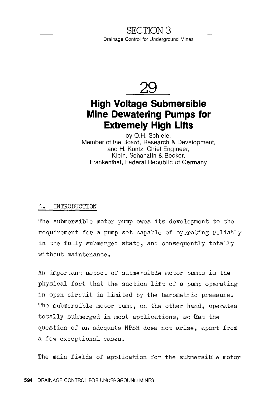# **SECTION 3**

Drainage Control for Underground Mines



# **High Voltage Submersible Mine Dewatering Pumps for Extremely High Lifts**

by O.H. Schiele, Member of the Board, Research & Development, and H. Kuntz, Chief Engineer, Klein, Schanzlin & Becker, Frankenthal, Federal Republic of Germany

#### 1. INTRODUCTION

The submersible motor pump owes its development to the requirement for a pump set capable of operating reliably in the fully submerged state, and consequently totally without maintenance.

An important aspect of submersible motor pumps is the physical fact that the suction lift of a pump operating in open circuit is limited by the barometric pressure. The submersible motor pump, on the other hand, operates totally submerged in most applications, so that the question of an adequate NPSH does not arise, apart from a few exceptional cases.

The main fields of application for the submersible motor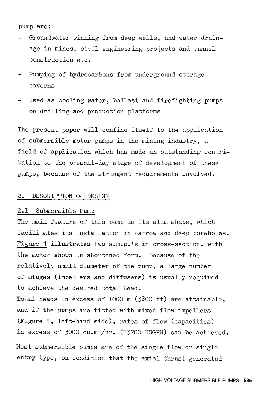#### pump are:

- Groundwater winning from deep wells, and water drainage in mines, civil engineering projects and tunnel construction etc.
- Pumping of hydrocarbons from underground storage caverns
- Used as cooling water, ballast and firefighting pumps on drilling and production platforms

The present paper will confine itself to the application of submersible motor pumps in the mining industry, a field of application which has made an outstanding contribution to the present-day stage of development of these pumps, because of the stringent requirements involved.

#### 2. DESCRIPTION OF DESIGN

#### 2.1 Submersible Pump

The main feature of this pump is its slim shape, which facilitates its installation in narrow and deep boreholes. Figure 1 illustrates two s.m.p.'s in cross-section, with the motor shown in shortened form. Because of the relatively small diameter of the pump, a large number of stages (impellers and diffusers) is usually required to achieve the desired total head.

Total heads in excess of 1000 m (3300 ft) are attainable, and if the pumps are fitted with mixed flow impellers (Figure 1, left-hand side), rates of flow (capacities) in excess of 3000 cu.m /hr. (13200 USGPM) can be achieved.

Most submersible pumps are of the single flow or single entry type, on condition that the axial thrust generated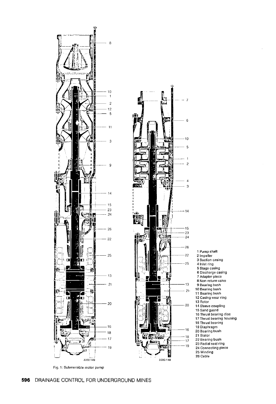



1 Pump shaft 2 Impeller 3 Suction casing 4 Inlet ring 5 Stage casing 6 Discharge casing 7 Adapter piece 8 Non-return valve 9 Bearing bush 10 Bearing bush 11 Bearing bush 12 Casing wear ring 13 Rotor 14 Sleeve coupling 15 Sand guard 16 Thrust bearing disc 17 Thrust bearing housing 16 Thrust bearing 19 Diaphragm 20 Bearing bush 21 Stator 22 Bearing bush 23 Radial seal ring 24 Connecting piece 25 Winding 26 Cable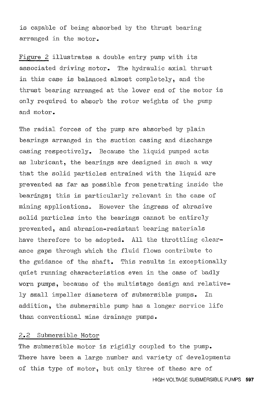is capable of being absorbed by the thrust bearing arranged in the motor.

Figure 2 illustrates a double entry pump with its associated driving motor. The hydraulic axial thrust in this case is balanced almost completely, and the thrust bearing arranged at the lower end of the motor is only required to absorb the rotor weights of the pump and motor.

The radial forces of the pump are absorbed by plain bearings arranged in the suction casing and discharge casing respectively. Because the liquid pumped acts as lubricant, the bearings are designed in such a way that the solid particles entrained with the liquid are prevented as far as possible from penetrating inside the bearings; this is particularly relevant in the case of mining applications. However the ingress of abrasive solid particles into the bearings cannot be entirely prevented, and abrasion-resistant bearing materials have therefore to be adopted. All the throttling clearance gaps through which the fluid flows contribute to the guidance of the shaft. This results in exceptionally quiet running characteristics even in the case of badly worn pumps, because of the multistage design and relatively small impeller diameters of submersible pumps. In addition, the submersible pump has a longer service life than conventional mine drainage pumps.

### 2.2 Submersible Motor

The submersible motor is rigidly coupled to the pump. There have been a large number and variety of developments of this type of motor, but only three of these are of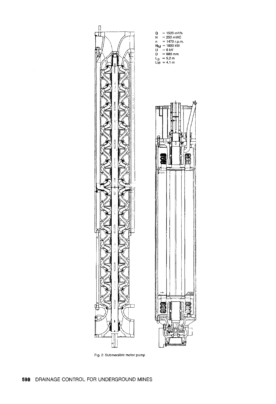

Q = 1500 m<sup>3</sup>/h<br>H = 250 mWC<br>n = 1470 r.p.m.<br>N<sub>M</sub> = 1600 kW U = 6 kV<br>D = 680 mm<br>L<sub>p</sub> = 5,2 m<br>LM = 4,1 m



**598** DRAINAGE CONTROL FOR UNDERGROUND MINES

**Fig. 2: Submersible motor pump**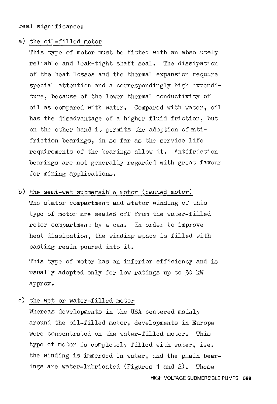real significance:

#### a) the oil-filled motor

This type of motor must be fitted with an absolutely reliable and leak-tight shaft seal. The dissipation of the heat losses and the thermal expansion require special attention and a correspondingly high expenditure, because of the lower thermal conductivity of oil as compared with water. Compared with water, oil has the disadvantage of a higher fluid friction, but on the other hand it permits the adoption of antifriction bearings, in so far as the service life requirements of the bearings allow it. Antifriction bearings are not generally regarded with great favour for mining applications.

b) the semi-wet submersible motor (canned motor) The stator compartment and stator winding of this type of motor are sealed off from the water-filled rotor compartment by a can. In order to improve heat dissipation, the winding space is filled with casting resin poured into it.

This type of motor has an inferior efficiency and is usually adopted only for low ratings up to 30 kW approx.

c) the wet or water-filled motor

Whereas developments in the USA centered mainly around the oil-filled motor, developments in Europe were concentrated on the water-filled motor. This type of motor is completely filled with water, i.e. the winding is immersed in water, and the plain bearings are water-lubricated (Figures 1 and 2). These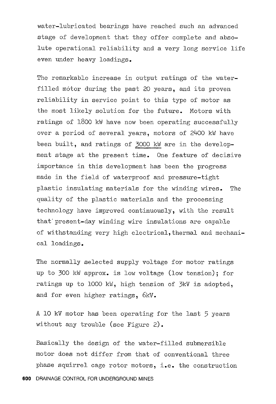water-lubricated bearings have reached such an advanced stage of development that they offer complete and absolute operational reliability and a very long service life even under heavy loadings.

The remarkable increase in output ratings of the waterfilled motor during the past 20 years, and its proven reliability in service point to this type of motor as the most likely solution for the future. Motors with ratings of 1800 kW have now been operating successfully over a period of several years, motors of 24DO kW have been built, and ratings of 3000 kW are in the development stage at the present time. One feature of decisive importance in this development has been the progress made in the field of waterproof and pressure-tight plastic insulating materials for the winding wires. The quality of the plastic materials and the processing technology have improved continuously, with the result that' present-day winding wire insulations are capable of withstanding very high electrical, thermal and mechanical loadings.

The normally selected supply voltage for motor ratings up to 300 kW approx. is low voltage (low tension); for ratings up to 1000 kW, high tension of 3kV is adopted, and for even higher ratings, 6kV.

A 10 kV motor has been operating for the last 5 years without any trouble (see Figure 2).

Basically the design of the water-filled submersible motor does not differ from that of conventional three phase squirrel cage rotor motors, i.e. the construction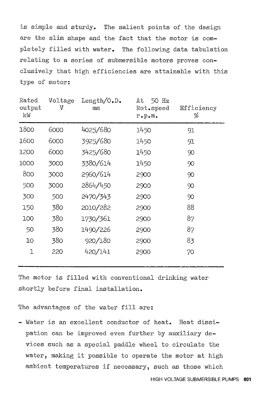is simple and sturdy. The salient points of the design are the slim shape and the fact that the motor is completely filled with water. The following data tabulation relating to a series of submersible motors proves conelusively that high efficiencies are attainable with this type of motor:

| Rated<br>output<br>kW | Voltage<br>V | Length/ $0.D.$<br>mm | 50 Hz<br>Αt<br>Rot.speed<br>$r \cdot p \cdot m$ . | Efficiency<br>% |
|-----------------------|--------------|----------------------|---------------------------------------------------|-----------------|
| 1800                  | 6000         | 4025/680             | 1450                                              | 91              |
| 1600                  | 6000         | 3925/680             | 1450                                              | 91              |
| 1200                  | 6000         | 3425/680             | 1450                                              | 90              |
| 1000                  | 3000         | 3380/614             | 1450                                              | 90              |
| 800                   | 3000         | 2960/614             | 2900                                              | 90              |
| 500                   | 3000         | 2864/450             | 2900                                              | 90              |
| 300                   | 500          | 2470/343             | 2900                                              | 90              |
| 150                   | 380          | 2010/282             | 2900                                              | 88              |
| 100                   | 380          | 1730/361             | 2900                                              | 87              |
| 50                    | 380          | 1490/226             | 2900                                              | 87              |
| 10 <sup>°</sup>       | 380          | 920/180              | 2900                                              | 83              |
| 1                     | 220          | 420/141              | 2900                                              | 70              |

The motor is filled with conventional drinking water shortly before final installation.

The advantages of the water fill are:

- Water is an excellent conductor of heat. Heat dissipation can be improved even further by auxiliary devices such as a special paddle wheel to circulate the water, making it possible to operate the motor at high ambient temperatures if necessary, such as those which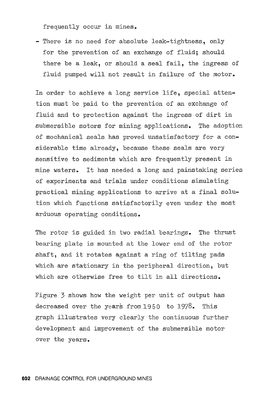frequently occur in mines.

- There is no need for absolute leak-tightness, only for the prevention of an exchange of fluid; should there be a leak, or should a seal fail, the ingress of fluid pumped will not result in failure of the motor.

In order to achieve a long service life, special attention must be paid to the prevention of an exchange of fluid and to protection against the ingress of dirt in submersible motors for mining applications. The adoption of mechanical seals has proved unsatisfactory for a considerable time already, because these seals are very sensitive to sediments which are frequently present in mine waters. It has needed a long and painstaking series of experiments and trials under conditions simulating practical mining applications to arrive at a final solution which functions satisfactorily even under the most arduous operating conditions.

The rotor is guided in two radial bearings. The thrust bearing plate is mounted at the lower end of the rotor shaft, and it rotates against a ring of tilting pads which are stationary in the peripheral direction, but which are otherwise free to tilt in all directions.

Figure 3 shows how the weight per unit of output has decreased over the years from 1950 to 1978. This graph illustrates very clearly the continuous further development and improvement of the submersible motor over the years.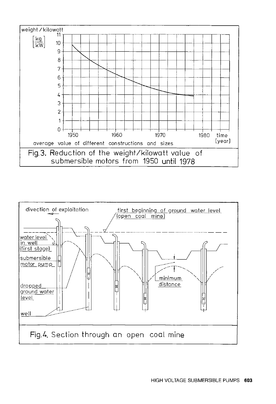

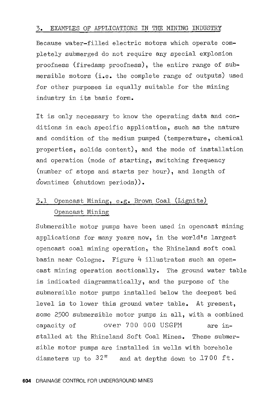#### 3. EXAMPLES OF APPLICATIONS IN THE MINING INDUSTRY

Because water-filled electric motors which operate completely submerged do not require any special explosion proofness (firedamp proofness), the entire range of submersible motors (i.e. the complete range of outputs) used for other purposes is equally suitable for the mining industry in its basic form.

It is only necessary to know the operating data and conditions in each specific application, such as the nature and condition of the medium pumped (temperature, chemical properties, solids content), and the mode of installation and operation (mode of starting, switching frequency (number of stops and starts per hour), and length of downtimes (shutdown periods)).

# 3.1 Opencast Mining, e.g. Brown Coal (Lignite) Opencast Mining

Submersible motor pumps have been used in opencast mining applications for many years now, in the world's largest opencast coal mining operation, the Rhineland soft coal basin near Cologne. Figure 4 illustrates such an opencast mining operation sectionally. The ground water table is indicated diagrammatically, and the purpose of the submersible motor pumps installed below the deepest bed level is to lower this ground water table. At present, some 2500 submersible motor pumps in all, with a combined capacity of over 700 000 USGPM are installed at the Rhineland Soft Coal Mines. These submersible motor pumps are installed in wells with borehole diameters up to  $32$ <sup>"</sup> and at depths down to 1700 ft.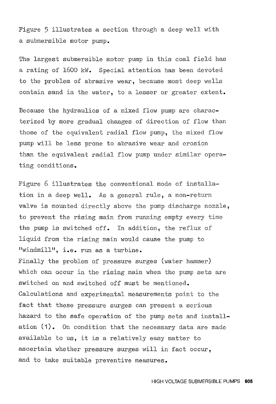Figure 5 illustrates a section through a deep well with a submersible motor pump.

The largest submersible motor pump in this coal field has a rating of 1600 kW. Special attention has been devoted to the problem of abrasive wear, because most deep wells contain sand in the water, to a lesser or greater extent.

Because the hydraulics of a mixed flow pump are characterized by more gradual changes of direction of flow than those of the equivalent radial flow pump, the mixed flow pump will be less prone to abrasive wear and erosion than the equivalent radial flow pump under similar operating conditions.

Figure 6 illustrates the conventional mode of installation in a deep well. As a general rule, a non-return valve is mounted directly above the pump discharge nozzle, to prevent the rising main from running empty every time the pump is switched off. In addition, the reflux of liquid from the rising main would cause the pump to "windmill", i.e. run as a turbine.

Finally the problem of pressure surges (water hammer) which can occur in the rising main when the pump sets are switched on and switched off must be mentioned. Calculations and experimental measurements point to the fact that these pressure surges can present a serious hazard to the safe operation of the pump sets and installation (1). On condition that the necessary data are made available to us, it is a relatively easy matter to ascertain whether pressure surges will in fact occur, and to take suitable preventive measures.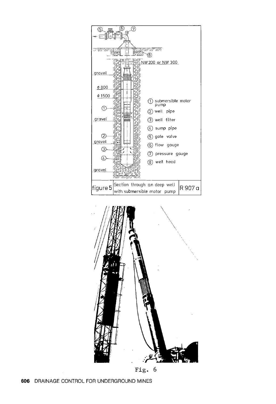



**Fig. 6**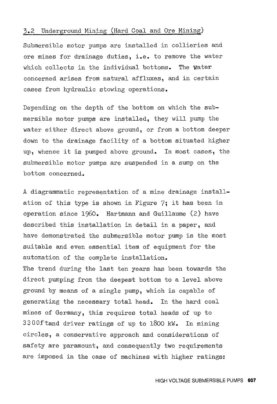#### 3.2 Underground Mining (Hard Coal and Ore Mining)

Submersible motor pumps are installed in collieries and ore mines for drainage duties, i.e. to remove the water which collects in the individual bottoms. The water concerned arises from natural affluxes, and in certain cases from hydraulic stowing operations.

Depending on the depth of the bottom on which the submersible motor pumps are installed, they will pump the water either direct above ground, or from a bottom deeper down to the drainage facility of a bottom situated higher up, whence it is pumped above ground. In most cases, the submersible motor pumps are suspended in a sump on the bottom concerned.

A diagrammatic representation of a mine drainage installation of this type is shown in Figure 7; it has been in operation since 1960. Hartmann and Guillaume (2) have described this installation in detail in a paper, and have demonstrated the submersible motor pump is the most suitable and even essential item of equipment for the automation of the complete installation.

The trend during the last ten years has been towards the direct pumping from the deepest bottom to a level above ground by means of a single pump, which is capable of generating the necessary total head. In the hard coal mines of Germany, this requires total heads of up to 3300ftand driver ratings of up to 1800 kW. In mining circles, a conservative approach and considerations of safety are paramount, and consequently two requirements are imposed in the case of machines with higher ratings: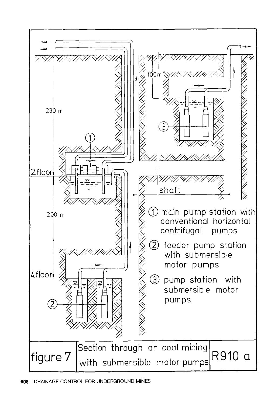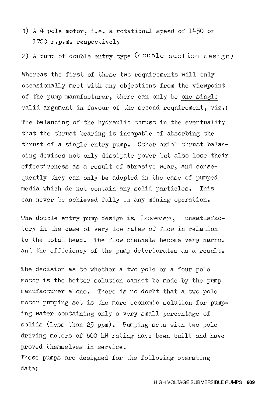**1)** A 4 pole motor, i.e. a rotational speed of 1450 or 1700 r.p.m. respectively

2) A pump of double entry type (double suction design)

Whereas the first of these two requirements will only occasionally meet with any objections from the viewpoint of the pump manufacturer, there can only be one single valid argument in favour of the second requirement, viz.: The balancing of the hydraulic thrust in the eventuality that the thrust bearing is incapable of absorbing the thrust of a single entry pump. Other axial thrust balancing devices not only dissipate power but also lose their effectiveness as a result of abrasive wear, and consequently they can only be adopted in the case of pumped media which do not contain any solid particles. This can never be achieved fully in any mining operation.

The double entry pump design is, howeyer, unsatisfactory in the case of very low rates of flow in relation to the total head. The flow channels become very narrow and the efficiency of the pump deteriorates as a result.

The decision as to whether a two pole or a four pole motor is the better solution cannot be made by the pump manufacturer alone. There is no doubt that a two pole motor pumping set is the more economic solution for pumping water containing only a very small percentage of solids (less than 25 ppm). Pumping sets with two pole driving motors of 600 kW rating have been built and have proved themselves in service.

These pumps are designed for the following operating data: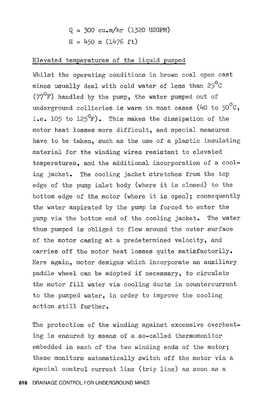# $Q = 300 \text{ cu.m/hr}$  (1320 USGPM)  $H = 450$  m (1476 ft)

### Elevated temperatures of the liquid pumped

Whilst the operating conditions in brown coal open cast mines usually deal with cold water of less than  $25^{\circ}$ C  $(77^{\circ}F)$  handled by the pump, the water pumped out of underground collieries is warm in most cases (40 to  $50^{\circ}$ C, i.e. 105 to  $125^{\circ}$ F). This makes the dissipation of the motor heat losses more difficult, and special measures have to be taken, such as the use of a plastic insulating material for the winding wires resistant to elevated temperatures, and the additional incorporation of a cooling jacket. The cooling jacket stretches from the top edge of the pump inlet body (where it is closed) to the bottom edge of the motor (where it is open); consequently the water aspirated by the pump is forced to enter the pump via the bottom end of the cooling jacket. The water thus pumped is obliged to flow around the outer surface of the motor casing at a predetermined velocity, and carries off the motor heat losses quite satisfactorily. Here again, motor designs which incorporate an auxiliary paddle wheel can be adopted if necessary, to circulate the motor fill water via cooling ducts in countercurrent to the pumped water, in order to improve the cooling action still further.

The protection of the winding against excessive overheating is ensured by means of a so-called thermomonitor embedded in each of the two winding ends of the motor; these monitors automatically switch off the motor via a special control current line (trip line) as soon as a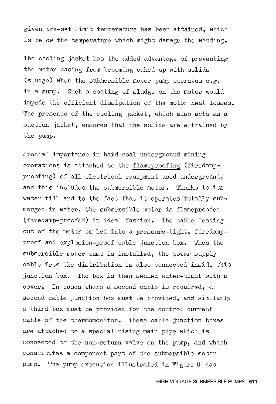given pre-set limit temperature has been attained, which is below the temperature which might damage the winding.

The cooling jacket has the added advantage of preventing the motor casing from becoming caked up with solids (sludge) when the submersible motor pump operates e.g. in a sump. Such a coating of sludge on the motor would impede the efficient dissipation of the motor heat losses. The presence of the cooling jacket, which also acts as a suction jacket, ensures that the solids are entrained by the pump.

Special importance in hard coal underground mining operations is attached to the flameproofing (firedampproofing) of all electrical equipment used underground, and this includes the submersible motor. Thanks to its water fill and to the fact that it operates totally submerged in water, the submersible motor is flameproofed (firedamp-proofed) in ideal fashion. The cable leading out of the motor is led into a pressure-tight, firedampproof and explosion-proof cable junction box. When the submersible motor pump is installed, the power supply cable from the distribution is also connected inside this junction box. The box is then sealed water-tight with a cover. In cases where a second cable is required, a second cable junction box must be provided, and similarly a third box must be provided for the control current cable of the thermomonitor. These cable junction boxes are attached to a special rising main pipe which is connected to the non-return valve on the pump, and which constitutes a component part of the submersible motor pump. The pump execution illustrated in Figure 8 has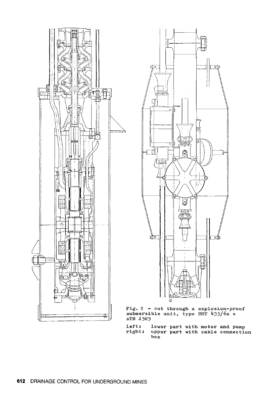



Fig, 8 - cut through a explosion-proof submersible unit, type BRT 4J5/6a <sup>+</sup> sTB 2503

left: right: lower part with motor and pump upper part with cable connection box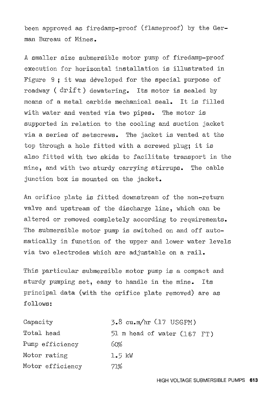been approved as firedamp-proof (flameproof) by the German Bureau of Mines.

A smaller size submersible motor pump of firedamp-proof execution for horizontal installation is illustrated in Figure 9 ; it was developed for the special purpose of roadway (drift) dewatering. Its motor is sealed by means of a metal carbide mechanical seal. It is filled with water and vented via two pipes. The motor is supported in relation to the cooling and suction jacket via a series of setscrews. The jacket is vented at the top through a hole fitted with a screwed plug; it is also fitted with two skids to facilitate transport in the mine, and with two sturdy carrying stirrups. The cable junction box is mounted on the jacket.

An orifice plate is fitted downstream of the non-return valve and upstream of the discharge line, which can be altered or removed completely according to requirements. The submersible motor pump is switched on and off automatically in function of the upper and lower water levels via two electrodes which are adjustable on a rail.

This particular submersible motor pump is a compact and sturdy pumping set, easy to handle in the mine. Its principal data (with the orifice plate removed) are as follows:

| Capacity         | $3.8$ cu.m/hr $(17$ USGPM)  |
|------------------|-----------------------------|
| Total head       | 51 m head of water (167 FT) |
| Pump efficiency  | 60%                         |
| Motor rating     | $1.5 \text{ kW}$            |
| Motor efficiency | 71%                         |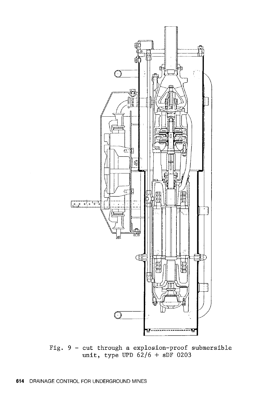

Fig. 9 - cut through a explosion-proof submersible **unit,** type UPD 62/6 + sDF 0203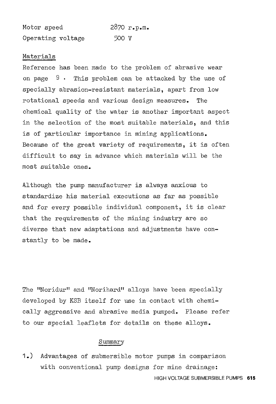Motor speed Operating voltage 2870 r.p.m. 500 v

#### Materials

Reference has been made to the problem of abrasive wear on page  $9$ . This problem can be attacked by the use of specially abrasion-resistant materials, apart from low rotational speeds and various design measures. The chemical quality of the water is another important aspect in the selection of the most suitable materials, and this is of particular importance in mining applications. Because of the great variety of requirements, it is often difficult to say in advance which materials will be the most suitable ones.

Although the pump manufacturer is always anxious to standardize his material executions as far as possible and for every possible individual component, it is clear that the requirements of the mining industry are so diverse that new adaptations and adjustments have constantly to be made.

The "Noridur" and "Norihard" alloys have been specially developed by KSB itself for use in contact with chemically aggressive and abrasive media pumped. Please refer to our special leaflets for details on these alloys.

### Summary

1.) Advantages of submersible motor pumps in comparison with conventional pump designs for mine drainage: